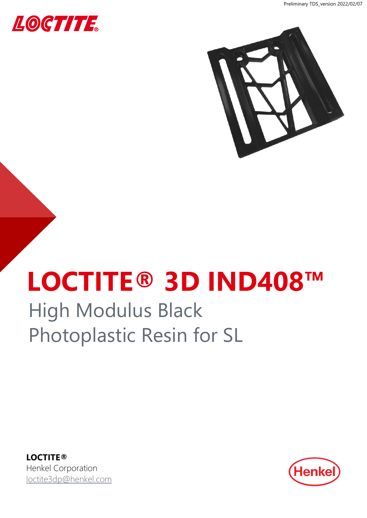



# **LOCTITE® 3D IND408™**

## High Modulus Black Photoplastic Resin for SL

**LOCTITE®** Henkel Corporation [loctite3dp@henkel.com](mailto:loctite3dp@henkel.com)

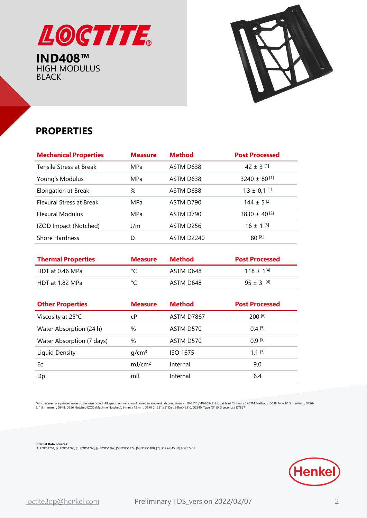

HIGH MODULUS BLACK



## **PROPERTIES**

| <b>Mechanical Properties</b> | <b>Measure</b> | <b>Method</b> | <b>Post Processed</b>        |
|------------------------------|----------------|---------------|------------------------------|
| Tensile Stress at Break      | MPa            | ASTM D638     | 42 $\pm$ 3 <sup>[1]</sup>    |
| Young's Modulus              | MPa            | ASTM D638     | $3240 \pm 80$ <sup>[1]</sup> |
| Elongation at Break          | $\%$           | ASTM D638     | $1,3 \pm 0,1$ [1]            |
| Flexural Stress at Break     | <b>MPa</b>     | ASTM D790     | $144 \pm 5^{[2]}$            |
| <b>Flexural Modulus</b>      | MPa            | ASTM D790     | $3830 \pm 40^{2}$            |
| IZOD Impact (Notched)        | J/m            | ASTM D256     | $16 + 1^{[3]}$               |
| <b>Shore Hardness</b>        | D              | ASTM D2240    | $80^{[8]}$                   |
|                              |                |               |                              |

| <b>Thermal Properties</b> | <b>Measure</b> | Method    | <b>Post Processed</b> |
|---------------------------|----------------|-----------|-----------------------|
| HDT at 0.46 MPa           |                | ASTM D648 | $118 + 1^{[4]}$       |
| HDT at 1.82 MPa           | م∘             | ASTM D648 | $95 + 3$ [4]          |

| <b>Other Properties</b>   | <b>Measure</b>     | <b>Method</b>   | <b>Post Processed</b> |
|---------------------------|--------------------|-----------------|-----------------------|
| Viscosity at 25°C         | cР                 | ASTM D7867      | 200 [6]               |
| Water Absorption (24 h)   | %                  | ASTM D570       | $0.4$ [5]             |
| Water Absorption (7 days) | %                  | ASTM D570       | $0.9$ [5]             |
| Liquid Density            | q/cm <sup>3</sup>  | <b>ISO 1675</b> | $1.1$ [7]             |
| Ec                        | mJ/cm <sup>2</sup> | Internal        | 9,0                   |
| Dp                        | mil                | Internal        | 6.4                   |

"All specimen are printed unless otherwise noted. All specimen were conditioned in ambient lab conditions at 19-23°C / 40-60% RH for at least 24 hours." ASTM Methods: D638 Type IV, 5 mm/min, D790-<br>B, 1.5 mm/min, D648, D2

**Internal Data Sources:**<br>[1] FOR51764, [2] FOR51766, [3] FOR51768, [4] FOR51762, [5] FOR51774, [6] FOR51480, [7] FOR54345 [8] FOR57401

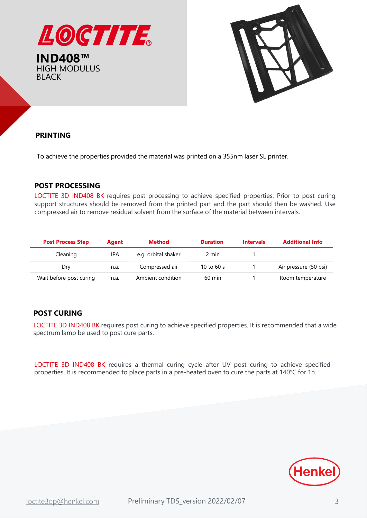



## **PRINTING**

To achieve the properties provided the material was printed on a 355nm laser SL printer.

## **POST PROCESSING**

LOCTITE 3D IND408 BK requires post processing to achieve specified properties. Prior to post curing support structures should be removed from the printed part and the part should then be washed. Use compressed air to remove residual solvent from the surface of the material between intervals.

| <b>Post Process Step</b> | Agent      | Method              | <b>Duration</b>  | <b>Intervals</b> | <b>Additional Info</b> |
|--------------------------|------------|---------------------|------------------|------------------|------------------------|
| Cleaning                 | <b>IPA</b> | e.g. orbital shaker | 2 min            |                  |                        |
| Dry                      | n.a.       | Compressed air      | 10 to 60 $s$     |                  | Air pressure (50 psi)  |
| Wait before post curing  | n.a.       | Ambient condition   | $60 \text{ min}$ |                  | Room temperature       |

## **POST CURING**

LOCTITE 3D IND408 BK requires post curing to achieve specified properties. It is recommended that a wide spectrum lamp be used to post cure parts.

LOCTITE 3D IND408 BK requires a thermal curing cycle after UV post curing to achieve specified properties. It is recommended to place parts in a pre-heated oven to cure the parts at 140°C for 1h.